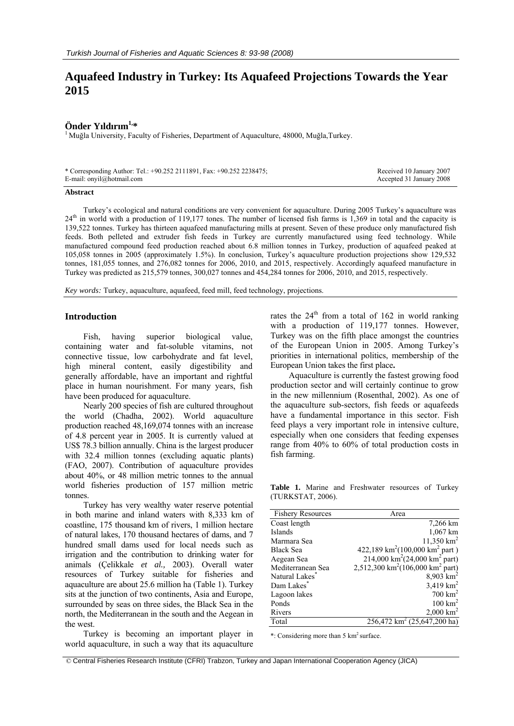# **Aquafeed Industry in Turkey: Its Aquafeed Projections Towards the Year 2015**

**Önder Yıldırım<sup>1,\*</sup>**<br><sup>1</sup> Muğla University, Faculty of Fisheries, Department of Aquaculture, 48000, Muğla,Turkey.

| * Corresponding Author: Tel.: +90.252 2111891, Fax: +90.252 2238475; | Received 10 January 2007 |
|----------------------------------------------------------------------|--------------------------|
| E-mail: $onvil@hotmail.com$                                          | Accepted 31 January 2008 |

#### **Abstract**

Turkey's ecological and natural conditions are very convenient for aquaculture. During 2005 Turkey's aquaculture was 24<sup>th</sup> in world with a production of 119,177 tones. The number of licensed fish farms is 1,369 in total and the capacity is 139,522 tonnes. Turkey has thirteen aquafeed manufacturing mills at present. Seven of these produce only manufactured fish feeds. Both pelleted and extruder fish feeds in Turkey are currently manufactured using feed technology. While manufactured compound feed production reached about 6.8 million tonnes in Turkey, production of aquafeed peaked at 105,058 tonnes in 2005 (approximately 1.5%). In conclusion, Turkey's aquaculture production projections show 129,532 tonnes, 181,055 tonnes, and 276,082 tonnes for 2006, 2010, and 2015, respectively. Accordingly aquafeed manufacture in Turkey was predicted as 215,579 tonnes, 300,027 tonnes and 454,284 tonnes for 2006, 2010, and 2015, respectively.

*Key words:* Turkey, aquaculture, aquafeed, feed mill, feed technology, projections.

# **Introduction**

Fish, having superior biological value, containing water and fat-soluble vitamins, not connective tissue, low carbohydrate and fat level, high mineral content, easily digestibility and generally affordable, have an important and rightful place in human nourishment. For many years, fish have been produced for aquaculture.

Nearly 200 species of fish are cultured throughout the world (Chadha, 2002). World aquaculture production reached 48,169,074 tonnes with an increase of 4.8 percent year in 2005. It is currently valued at US\$ 78.3 billion annually. China is the largest producer with 32.4 million tonnes (excluding aquatic plants) (FAO, 2007). Contribution of aquaculture provides about 40%, or 48 million metric tonnes to the annual world fisheries production of 157 million metric tonnes.

Turkey has very wealthy water reserve potential in both marine and inland waters with 8,333 km of coastline, 175 thousand km of rivers, 1 million hectare of natural lakes, 170 thousand hectares of dams, and 7 hundred small dams used for local needs such as irrigation and the contribution to drinking water for animals (Çelikkale *et al.,* 2003). Overall water resources of Turkey suitable for fisheries and aquaculture are about 25.6 million ha (Table 1). Turkey sits at the junction of two continents, Asia and Europe, surrounded by seas on three sides, the Black Sea in the north, the Mediterranean in the south and the Aegean in the west.

Turkey is becoming an important player in world aquaculture, in such a way that its aquaculture

rates the  $24<sup>th</sup>$  from a total of 162 in world ranking with a production of 119,177 tonnes. However, Turkey was on the fifth place amongst the countries of the European Union in 2005. Among Turkey's priorities in international politics, membership of the European Union takes the first place**.**

Aquaculture is currently the fastest growing food production sector and will certainly continue to grow in the new millennium (Rosenthal, 2002). As one of the aquaculture sub-sectors, fish feeds or aquafeeds have a fundamental importance in this sector. Fish feed plays a very important role in intensive culture, especially when one considers that feeding expenses range from 40% to 60% of total production costs in fish farming.

Table 1. Marine and Freshwater resources of Turkey (TURKSTAT, 2006).

| <b>Fishery Resources</b> | Area                                                     |
|--------------------------|----------------------------------------------------------|
| Coast length             | 7,266 km                                                 |
| Islands                  | 1,067 km                                                 |
| Marmara Sea              | $11,350$ km <sup>2</sup>                                 |
| <b>Black Sea</b>         | 422,189 km <sup>2</sup> (100,000 km <sup>2</sup> part)   |
| Aegean Sea               | 214,000 km <sup>2</sup> (24,000 km <sup>2</sup> part)    |
| Mediterranean Sea        | 2,512,300 km <sup>2</sup> (106,000 km <sup>2</sup> part) |
| Natural Lakes            | $8,903$ km <sup>2</sup>                                  |
| Dam Lakes                | $3,419$ km <sup>2</sup>                                  |
| Lagoon lakes             | $700 \text{ km}^2$                                       |
| Ponds                    | $100 \text{ km}^2$                                       |
| Rivers                   | $2,000 \text{ km}^2$                                     |
| Total                    | $256,472$ km <sup>2</sup> (25,647,200 ha)                |

\*: Considering more than 5 km2 surface.

© Central Fisheries Research Institute (CFRI) Trabzon, Turkey and Japan International Cooperation Agency (JICA)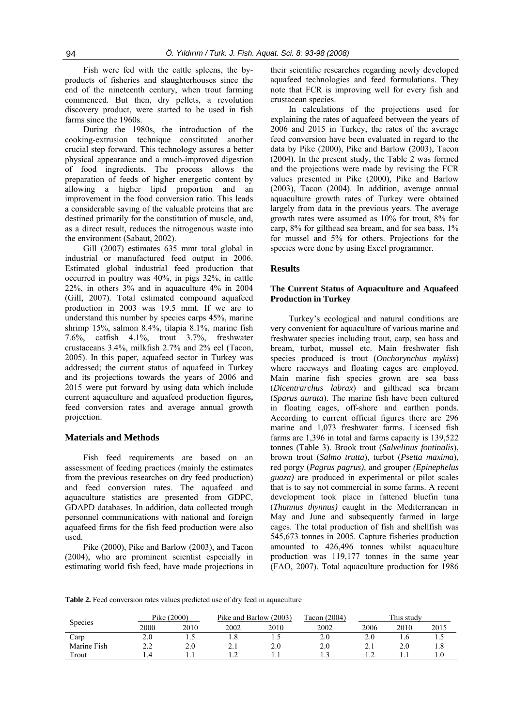Fish were fed with the cattle spleens, the byproducts of fisheries and slaughterhouses since the end of the nineteenth century, when trout farming commenced. But then, dry pellets, a revolution discovery product, were started to be used in fish farms since the 1960s.

During the 1980s, the introduction of the cooking-extrusion technique constituted another crucial step forward. This technology assures a better physical appearance and a much-improved digestion of food ingredients. The process allows the preparation of feeds of higher energetic content by allowing a higher lipid proportion and an improvement in the food conversion ratio. This leads a considerable saving of the valuable proteins that are destined primarily for the constitution of muscle, and, as a direct result, reduces the nitrogenous waste into the environment (Sabaut, 2002).

Gill (2007) estimates 635 mmt total global in industrial or manufactured feed output in 2006. Estimated global industrial feed production that occurred in poultry was 40%, in pigs 32%, in cattle 22%, in others 3% and in aquaculture 4% in 2004 (Gill, 2007). Total estimated compound aquafeed production in 2003 was 19.5 mmt. If we are to understand this number by species carps 45%, marine shrimp 15%, salmon 8.4%, tilapia 8.1%, marine fish 7.6%, catfish 4.1%, trout 3.7%, freshwater crustaceans 3.4%, milkfish 2.7% and 2% eel (Tacon, 2005). In this paper, aquafeed sector in Turkey was addressed; the current status of aquafeed in Turkey and its projections towards the years of 2006 and 2015 were put forward by using data which include current aquaculture and aquafeed production figures**,** feed conversion rates and average annual growth projection.

# **Materials and Methods**

Fish feed requirements are based on an assessment of feeding practices (mainly the estimates from the previous researches on dry feed production) and feed conversion rates. The aquafeed and aquaculture statistics are presented from GDPC, GDAPD databases. In addition, data collected trough personnel communications with national and foreign aquafeed firms for the fish feed production were also used.

Pike (2000), Pike and Barlow (2003), and Tacon (2004), who are prominent scientist especially in estimating world fish feed, have made projections in

their scientific researches regarding newly developed aquafeed technologies and feed formulations. They note that FCR is improving well for every fish and crustacean species.

In calculations of the projections used for explaining the rates of aquafeed between the years of 2006 and 2015 in Turkey, the rates of the average feed conversion have been evaluated in regard to the data by Pike (2000), Pike and Barlow (2003), Tacon (2004). In the present study, the Table 2 was formed and the projections were made by revising the FCR values presented in Pike (2000), Pike and Barlow (2003), Tacon (2004). In addition, average annual aquaculture growth rates of Turkey were obtained largely from data in the previous years. The average growth rates were assumed as 10% for trout, 8% for carp, 8% for gilthead sea bream, and for sea bass, 1% for mussel and 5% for others. Projections for the species were done by using Excel programmer.

### **Results**

# **The Current Status of Aquaculture and Aquafeed Production in Turkey**

Turkey's ecological and natural conditions are very convenient for aquaculture of various marine and freshwater species including trout, carp, sea bass and bream, turbot, mussel etc. Main freshwater fish species produced is trout (*Onchorynchus mykiss*) where raceways and floating cages are employed. Main marine fish species grown are sea bass (*Dicentrarchus labrax*) and gilthead sea bream (*Sparus aurata*). The marine fish have been cultured in floating cages, off-shore and earthen ponds. According to current official figures there are 296 marine and 1,073 freshwater farms. Licensed fish farms are 1,396 in total and farms capacity is 139,522 tonnes (Table 3). Brook trout (*Salvelinus fontinalis*), brown trout (*Salmo trutta*), turbot (*Psetta maxima*), red porgy (*Pagrus pagrus),* and grouper *(Epinephelus guaza)* are produced in experimental or pilot scales that is to say not commercial in some farms. A recent development took place in fattened bluefin tuna (*Thunnus thynnus)* caught in the Mediterranean in May and June and subsequently farmed in large cages. The total production of fish and shellfish was 545,673 tonnes in 2005. Capture fisheries production amounted to 426,496 tonnes whilst aquaculture production was 119,177 tonnes in the same year (FAO, 2007). Total aquaculture production for 1986

Table 2. Feed conversion rates values predicted use of dry feed in aquaculture

|                |                | Pike (2000) |      | Pike and Barlow (2003) |      | This study  |      |      |
|----------------|----------------|-------------|------|------------------------|------|-------------|------|------|
| <b>Species</b> | 2000           | 2010        | 2002 | 2010                   | 2002 | 2006        | 2010 | 2015 |
| Carp           | 2.0            | ن           |      | ن                      | 2.0  | 2.0         |      | ن. 1 |
| Marine Fish    | $\overline{a}$ | 2.0         | 4.1  | 2.0                    |      | $\angle$ .1 | 2.0  | 1.ð  |
| Trout          |                |             |      |                        |      |             |      |      |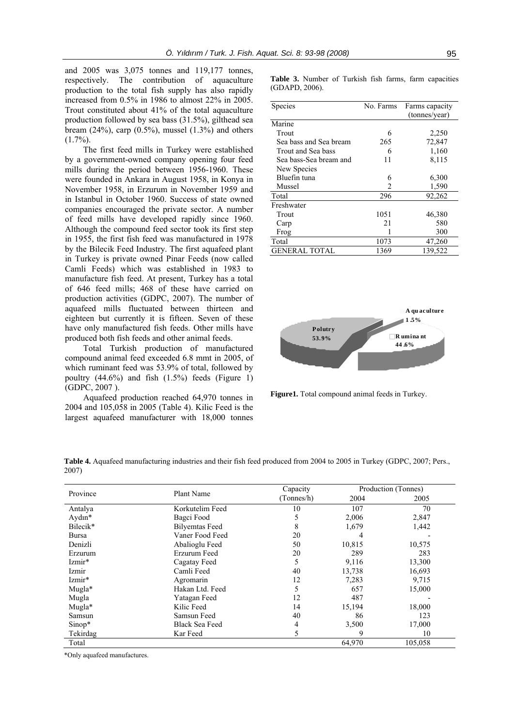and 2005 was 3,075 tonnes and 119,177 tonnes, respectively. The contribution of aquaculture production to the total fish supply has also rapidly increased from 0.5% in 1986 to almost 22% in 2005. Trout constituted about 41% of the total aquaculture production followed by sea bass (31.5%), gilthead sea bream  $(24\%)$ , carp  $(0.5\%)$ , mussel  $(1.3\%)$  and others  $(1.7\%)$ .

The first feed mills in Turkey were established by a government-owned company opening four feed mills during the period between 1956-1960. These were founded in Ankara in August 1958, in Konya in November 1958, in Erzurum in November 1959 and in Istanbul in October 1960. Success of state owned companies encouraged the private sector. A number of feed mills have developed rapidly since 1960. Although the compound feed sector took its first step in 1955, the first fish feed was manufactured in 1978 by the Bilecik Feed Industry. The first aquafeed plant in Turkey is private owned Pinar Feeds (now called Camli Feeds) which was established in 1983 to manufacture fish feed. At present, Turkey has a total of 646 feed mills; 468 of these have carried on production activities (GDPC, 2007). The number of aquafeed mills fluctuated between thirteen and eighteen but currently it is fifteen. Seven of these have only manufactured fish feeds. Other mills have produced both fish feeds and other animal feeds.

Total Turkish production of manufactured compound animal feed exceeded 6.8 mmt in 2005, of which ruminant feed was 53.9% of total, followed by poultry  $(44.6\%)$  and fish  $(1.5\%)$  feeds (Figure 1) (GDPC, 2007 ).

Aquafeed production reached 64,970 tonnes in 2004 and 105,058 in 2005 (Table 4). Kilic Feed is the largest aquafeed manufacturer with 18,000 tonnes **Table 3.** Number of Turkish fish farms, farm capacities (GDAPD, 2006).

| <b>Species</b>         | No. Farms | Farms capacity |  |  |
|------------------------|-----------|----------------|--|--|
|                        |           | (tonnes/year)  |  |  |
| Marine                 |           |                |  |  |
| Trout                  | 6         | 2,250          |  |  |
| Sea bass and Sea bream | 265       | 72,847         |  |  |
| Trout and Sea bass     | 6         | 1,160          |  |  |
| Sea bass-Sea bream and | 11        | 8,115          |  |  |
| New Species            |           |                |  |  |
| Bluefin tuna           | 6         | 6,300          |  |  |
| Mussel                 | 2         | 1,590          |  |  |
| Total                  | 296       | 92,262         |  |  |
| Freshwater             |           |                |  |  |
| Trout                  | 1051      | 46,380         |  |  |
| Carp                   | 21        | 580            |  |  |
| Frog                   |           | 300            |  |  |
| Total                  | 1073      | 47,260         |  |  |
| GENERAL TOTAL          | 1369      | 139,522        |  |  |



**Figure1.** Total compound animal feeds in Turkey.

| Table 4. Aquafeed manufacturing industries and their fish feed produced from 2004 to 2005 in Turkey (GDPC, 2007; Pers., |  |  |
|-------------------------------------------------------------------------------------------------------------------------|--|--|
| 2007)                                                                                                                   |  |  |

| Province     | Plant Name            | Capacity   | Production (Tonnes) |         |  |
|--------------|-----------------------|------------|---------------------|---------|--|
|              |                       | (Tonnes/h) | 2004                | 2005    |  |
| Antalya      | Korkutelim Feed       | 10         | 107                 | 70      |  |
| $Ay$ dın $*$ | Bagci Food            | 5          | 2,006               | 2,847   |  |
| Bilecik*     | <b>Bilyemtas Feed</b> | 8          | 1,679               | 1,442   |  |
| Bursa        | Vaner Food Feed       | 20         |                     |         |  |
| Denizli      | Abalioglu Feed        | 50         | 10,815              | 10,575  |  |
| Erzurum      | Erzurum Feed          | 20         | 289                 | 283     |  |
| Izmir*       | Cagatay Feed          | 5          | 9,116               | 13,300  |  |
| Izmir        | Camli Feed            | 40         | 13,738              | 16,693  |  |
| Izmir*       | Agromarin             | 12         | 7,283               | 9,715   |  |
| Mugla*       | Hakan Ltd. Feed       | 5          | 657                 | 15,000  |  |
| Mugla        | Yatagan Feed          | 12         | 487                 |         |  |
| Mugla*       | Kilic Feed            | 14         | 15,194              | 18,000  |  |
| Samsun       | Samsun Feed           | 40         | 86                  | 123     |  |
| $Sinop*$     | Black Sea Feed        | 4          | 3,500               | 17,000  |  |
| Tekirdag     | Kar Feed              | 5          | 9                   | 10      |  |
| Total        |                       |            | 64,970              | 105,058 |  |

\*Only aquafeed manufactures.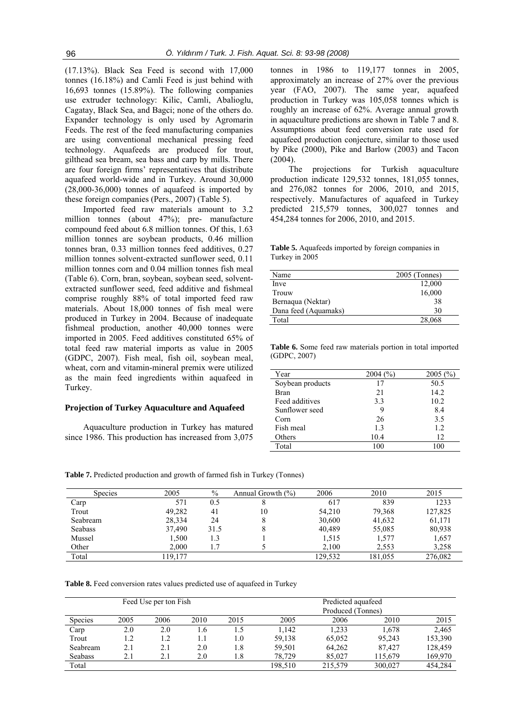(17.13%). Black Sea Feed is second with 17,000 tonnes (16.18%) and Camli Feed is just behind with 16,693 tonnes (15.89%). The following companies use extruder technology: Kilic, Camli, Abalioglu, Cagatay, Black Sea, and Bagci; none of the others do. Expander technology is only used by Agromarin Feeds. The rest of the feed manufacturing companies are using conventional mechanical pressing feed technology. Aquafeeds are produced for trout, gilthead sea bream, sea bass and carp by mills. There are four foreign firms' representatives that distribute aquafeed world-wide and in Turkey. Around 30,000 (28,000-36,000) tonnes of aquafeed is imported by these foreign companies (Pers., 2007) (Table 5).

Imported feed raw materials amount to 3.2 million tonnes (about 47%); pre- manufacture compound feed about 6.8 million tonnes. Of this, 1.63 million tonnes are soybean products, 0.46 million tonnes bran, 0.33 million tonnes feed additives, 0.27 million tonnes solvent-extracted sunflower seed, 0.11 million tonnes corn and 0.04 million tonnes fish meal (Table 6). Corn, bran, soybean, soybean seed, solventextracted sunflower seed, feed additive and fishmeal comprise roughly 88% of total imported feed raw materials. About 18,000 tonnes of fish meal were produced in Turkey in 2004. Because of inadequate fishmeal production, another 40,000 tonnes were imported in 2005. Feed additives constituted 65% of total feed raw material imports as value in 2005 (GDPC, 2007). Fish meal, fish oil, soybean meal, wheat, corn and vitamin-mineral premix were utilized as the main feed ingredients within aquafeed in Turkey.

#### **Projection of Turkey Aquaculture and Aquafeed**

Aquaculture production in Turkey has matured since 1986. This production has increased from 3,075

tonnes in 1986 to 119,177 tonnes in 2005, approximately an increase of 27% over the previous year (FAO, 2007). The same year, aquafeed production in Turkey was 105,058 tonnes which is roughly an increase of 62%. Average annual growth in aquaculture predictions are shown in Table 7 and 8. Assumptions about feed conversion rate used for aquafeed production conjecture, similar to those used by Pike (2000), Pike and Barlow (2003) and Tacon (2004).

The projections for Turkish aquaculture production indicate 129,532 tonnes, 181,055 tonnes, and 276,082 tonnes for 2006, 2010, and 2015, respectively. Manufactures of aquafeed in Turkey predicted 215,579 tonnes, 300,027 tonnes and 454,284 tonnes for 2006, 2010, and 2015.

**Table 5.** Aquafeeds imported by foreign companies in Turkey in 2005

| Name                 | $2005$ (Tonnes) |
|----------------------|-----------------|
| Inve                 | 12,000          |
| Trouw                | 16,000          |
| Bernaqua (Nektar)    | 38              |
| Dana feed (Aquamaks) | 30              |
| Total                | 28,068          |
|                      |                 |

**Table 6.** Some feed raw materials portion in total imported (GDPC, 2007)

| Year             | 2004(%) | 2005(%) |
|------------------|---------|---------|
| Soybean products | 17      | 50.5    |
| Bran             | 21      | 14.2    |
| Feed additives   | 3.3     | 10.2    |
| Sunflower seed   | 9       | 8.4     |
| Corn             | 26      | 3.5     |
| Fish meal        | 1.3     | 1.2     |
| Others           | 10.4    | 12      |
| Total            | 100     | 100     |

**Table 7.** Predicted production and growth of farmed fish in Turkey (Tonnes)

| <b>Species</b> | 2005   | $\%$ | Annual Growth $(\% )$ | 2006    | 2010    | 2015    |
|----------------|--------|------|-----------------------|---------|---------|---------|
| Carp           | 571    | 0.5  |                       | 617     | 839     | 1233    |
| Trout          | 49,282 | 41   | 10                    | 54,210  | 79,368  | 127,825 |
| Seabream       | 28,334 | 24   |                       | 30,600  | 41,632  | 61,171  |
| <b>Seabass</b> | 37,490 | 31.5 |                       | 40.489  | 55,085  | 80,938  |
| Mussel         | 1,500  | 1.3  |                       | 1,515   | 1,577   | 1,657   |
| Other          | 2.000  | 1.7  |                       | 2.100   | 2,553   | 3,258   |
| Total          | 19.177 |      |                       | 129,532 | 181,055 | 276,082 |

**Table 8.** Feed conversion rates values predicted use of aquafeed in Turkey

| Feed Use per ton Fish |      |      |      |      | Predicted aquafeed<br>Produced (Tonnes) |         |         |         |
|-----------------------|------|------|------|------|-----------------------------------------|---------|---------|---------|
| <b>Species</b>        | 2005 | 2006 | 2010 | 2015 | 2005                                    | 2006    | 2010    | 2015    |
| Carp                  | 2.0  | 2.0  | 1.6  | 1.5  | 1.142                                   | 1.233   | 1.678   | 2.465   |
| Trout                 | 1.2  | 1.2  | 1.1  | 1.0  | 59,138                                  | 65,052  | 95,243  | 153,390 |
| Seabream              | 2.1  | 2.1  | 2.0  | 1.8  | 59,501                                  | 64,262  | 87.427  | 128,459 |
| <b>Seabass</b>        | 2.1  | 2.1  | 2.0  | 1.8  | 78.729                                  | 85.027  | 115.679 | 169,970 |
| Total                 |      |      |      |      | 198.510                                 | 215.579 | 300,027 | 454,284 |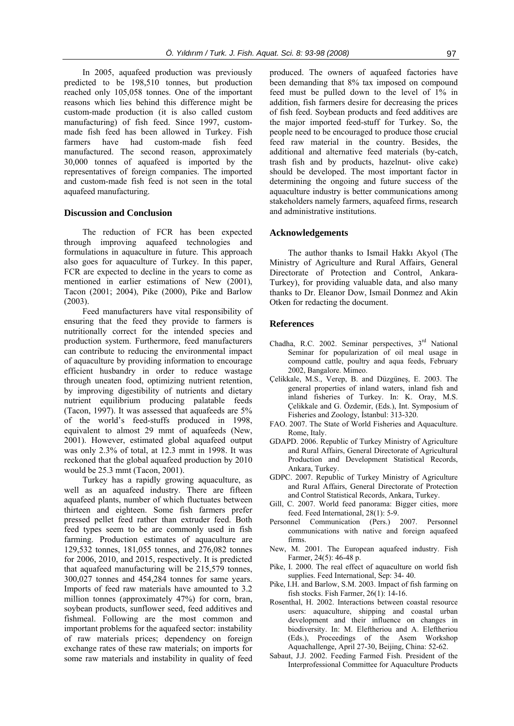In 2005, aquafeed production was previously predicted to be 198,510 tonnes, but production reached only 105,058 tonnes. One of the important reasons which lies behind this difference might be custom-made production (it is also called custom manufacturing) of fish feed. Since 1997, custommade fish feed has been allowed in Turkey. Fish farmers have had custom-made fish feed manufactured. The second reason, approximately 30,000 tonnes of aquafeed is imported by the representatives of foreign companies. The imported and custom-made fish feed is not seen in the total aquafeed manufacturing.

#### **Discussion and Conclusion**

The reduction of FCR has been expected through improving aquafeed technologies and formulations in aquaculture in future. This approach also goes for aquaculture of Turkey. In this paper, FCR are expected to decline in the years to come as mentioned in earlier estimations of New (2001), Tacon (2001; 2004), Pike (2000), Pike and Barlow (2003).

Feed manufacturers have vital responsibility of ensuring that the feed they provide to farmers is nutritionally correct for the intended species and production system. Furthermore, feed manufacturers can contribute to reducing the environmental impact of aquaculture by providing information to encourage efficient husbandry in order to reduce wastage through uneaten food, optimizing nutrient retention, by improving digestibility of nutrients and dietary nutrient equilibrium producing palatable feeds (Tacon, 1997). It was assessed that aquafeeds are 5% of the world's feed-stuffs produced in 1998, equivalent to almost 29 mmt of aquafeeds (New, 2001). However, estimated global aquafeed output was only 2.3% of total, at 12.3 mmt in 1998. It was reckoned that the global aquafeed production by 2010 would be 25.3 mmt (Tacon, 2001).

Turkey has a rapidly growing aquaculture, as well as an aquafeed industry. There are fifteen aquafeed plants, number of which fluctuates between thirteen and eighteen. Some fish farmers prefer pressed pellet feed rather than extruder feed. Both feed types seem to be are commonly used in fish farming. Production estimates of aquaculture are 129,532 tonnes, 181,055 tonnes, and 276,082 tonnes for 2006, 2010, and 2015, respectively. It is predicted that aquafeed manufacturing will be 215,579 tonnes, 300,027 tonnes and 454,284 tonnes for same years. Imports of feed raw materials have amounted to 3.2 million tonnes (approximately 47%) for corn, bran, soybean products, sunflower seed, feed additives and fishmeal. Following are the most common and important problems for the aquafeed sector: instability of raw materials prices; dependency on foreign exchange rates of these raw materials; on imports for some raw materials and instability in quality of feed produced. The owners of aquafeed factories have been demanding that 8% tax imposed on compound feed must be pulled down to the level of 1% in addition, fish farmers desire for decreasing the prices of fish feed. Soybean products and feed additives are the major imported feed-stuff for Turkey. So, the people need to be encouraged to produce those crucial feed raw material in the country. Besides, the additional and alternative feed materials (by-catch, trash fish and by products, hazelnut- olive cake) should be developed. The most important factor in determining the ongoing and future success of the aquaculture industry is better communications among stakeholders namely farmers, aquafeed firms, research and administrative institutions.

#### **Acknowledgements**

The author thanks to Ismail Hakkı Akyol (The Ministry of Agriculture and Rural Affairs, General Directorate of Protection and Control, Ankara-Turkey), for providing valuable data, and also many thanks to Dr. Eleanor Dow, Ismail Donmez and Akin Otken for redacting the document.

### **References**

- Chadha, R.C. 2002. Seminar perspectives, 3<sup>rd</sup> National Seminar for popularization of oil meal usage in compound cattle, poultry and aqua feeds, February 2002, Bangalore. Mimeo.
- Çelikkale, M.S., Verep, B. and Düzgüneş, E. 2003. The general properties of inland waters, inland fish and inland fisheries of Turkey. In: K. Oray, M.S. Çelikkale and G. Özdemir, (Eds.), Int. Symposium of Fisheries and Zoology, İstanbul: 313-320.
- FAO. 2007. The State of World Fisheries and Aquaculture. Rome, Italy.
- GDAPD. 2006. Republic of Turkey Ministry of Agriculture and Rural Affairs, General Directorate of Agricultural Production and Development Statistical Records, Ankara, Turkey.
- GDPC. 2007. Republic of Turkey Ministry of Agriculture and Rural Affairs, General Directorate of Protection and Control Statistical Records, Ankara, Turkey.
- Gill, C. 2007. World feed panorama: Bigger cities, more feed. Feed International, 28(1): 5-9.
- Personnel Communication (Pers.) 2007. Personnel communications with native and foreign aquafeed firms.
- New, M. 2001. The European aquafeed industry. Fish Farmer*,* 24(5): 46-48 p.
- Pike, I. 2000. The real effect of aquaculture on world fish supplies. Feed International, Sep: 34- 40.
- Pike, I.H. and Barlow, S.M. 2003. Impact of fish farming on fish stocks. Fish Farmer, 26(1): 14-16.
- Rosenthal, H. 2002. Interactions between coastal resource users: aquaculture, shipping and coastal urban development and their influence on changes in biodiversity. In: M. Eleftheriou and A. Eleftheriou (Eds.), Proceedings of the Asem Workshop Aquachallenge*,* April 27-30, Beijing, China: 52-62.
- Sabaut, J.J. 2002. Feeding Farmed Fish. President of the Interprofessional Committee for Aquaculture Products